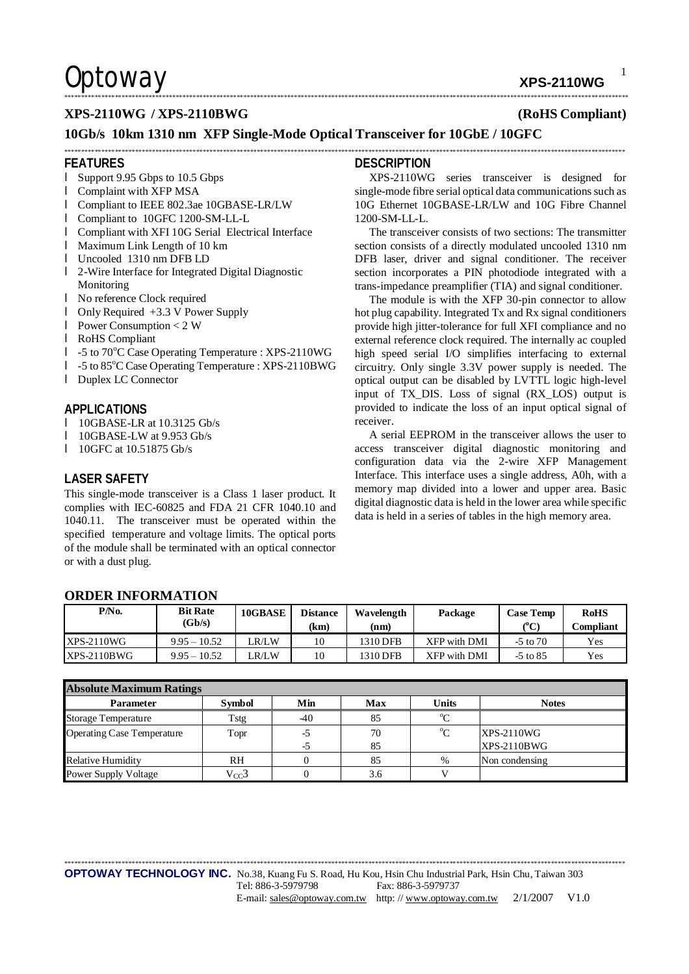**Optoway** xps-2110wg

1

### **XPS-2110WG / XPS-2110BWG (RoHS Compliant)**

## **10Gb/s 10km 1310 nm XFP Single-Mode Optical Transceiver for 10GbE / 10GFC**

### **FEATURES**

- l Support 9.95 Gbps to 10.5 Gbps
- l Complaint with XFP MSA
- l Compliant to IEEE 802.3ae 10GBASE-LR/LW
- l Compliant to 10GFC 1200-SM-LL-L
- l Compliant with XFI 10G Serial Electrical Interface
- l Maximum Link Length of 10 km
- l Uncooled 1310 nm DFB LD
- l 2-Wire Interface for Integrated Digital Diagnostic Monitoring
- l No reference Clock required
- l Only Required +3.3 V Power Supply
- l Power Consumption < 2 W
- l RoHS Compliant
- l -5 to 70°C Case Operating Temperature : XPS-2110WG
- l -5 to 85<sup>o</sup>C Case Operating Temperature : XPS-2110BWG
- l Duplex LC Connector

### **APPLICATIONS**

- l 10GBASE-LR at 10.3125 Gb/s
- l 10GBASE-LW at  $9.953$  Gb/s<br>l 10GEC at 10.51875 Gb/s

**ORDER INFORMATION** 

l 10GFC at 10.51875 Gb/s

### **LASER SAFETY**

This single-mode transceiver is a Class 1 laser product. It complies with IEC-60825 and FDA 21 CFR 1040.10 and 1040.11. The transceiver must be operated within the specified temperature and voltage limits. The optical ports of the module shall be terminated with an optical connector or with a dust plug.

### **DESCRIPTION**

\*\*\*\*\*\*\*\*\*\*\*\*\*\*\*\*\*\*\*\*\*\*\*\*\*\*\*\*\*\*\*\*\*\*\*\*\*\*\*\*\*\*\*\*\*\*\*\*\*\*\*\*\*\*\*\*\*\*\*\*\*\*\*\*\*\*\*\*\*\*\*\*\*\*\*\*\*\*\*\*\*\*\*\*\*\*\*\*\*\*\*\*\*\*\*\*\*\*\*\*\*\*\*\*\*\*\*\*\*\*\*\*\*\*\*\*\*\*\*\*\*\*\*\*\*\*\*\*\*\*\*\*\*\*\*\*\*\*\*\*\*\*\*\*\*\*\*\*\*\*\*\*\*\*\*\*\*\*\*\*\*\*\*\*\*\*\*

\*\*\*\*\*\*\*\*\*\*\*\*\*\*\*\*\*\*\*\*\*\*\*\*\*\*\*\*\*\*\*\*\*\*\*\*\*\*\*\*\*\*\*\*\*\*\*\*\*\*\*\*\*\*\*\*\*\*\*\*\*\*\*\*\*\*\*\*\*\*\*\*\*\*\*\*\*\*\*\*\*\*\*\*\*\*\*\*\*\*\*\*\*\*\*\*\*\*\*\*\*\*\*\*\*\*\*\*\*\*\*\*\*\*\*\*\*\*\*\*\*\*\*\*\*\*\*\*\*\*\*\*\*\*\*\*\*\*\*\*\*\*\*\*\*\*\*\*\*\*\*\*\*\*\*\*\*\*\*\*\*\*\*\*\*\*

XPS-2110WG series transceiver is designed for single-mode fibre serial optical data communications such as 10G Ethernet 10GBASE-LR/LW and 10G Fibre Channel 1200-SM-LL-L.

The transceiver consists of two sections: The transmitter section consists of a directly modulated uncooled 1310 nm DFB laser, driver and signal conditioner. The receiver section incorporates a PIN photodiode integrated with a trans-impedance preamplifier (TIA) and signal conditioner.

The module is with the XFP 30-pin connector to allow hot plug capability. Integrated Tx and Rx signal conditioners provide high jitter-tolerance for full XFI compliance and no external reference clock required. The internally ac coupled high speed serial I/O simplifies interfacing to external circuitry. Only single 3.3V power supply is needed. The optical output can be disabled by LVTTL logic high-level input of TX\_DIS. Loss of signal (RX\_LOS) output is provided to indicate the loss of an input optical signal of receiver.

A serial EEPROM in the transceiver allows the user to access transceiver digital diagnostic monitoring and configuration data via the 2-wire XFP Management Interface. This interface uses a single address, A0h, with a memory map divided into a lower and upper area. Basic digital diagnostic data is held in the lower area while specific data is held in a series of tables in the high memory area.

| P/No.             | <b>Bit Rate</b><br>(Gb/s) | 10GBASE | <b>Distance</b> | Wavelength | Package      | <b>Case Temp</b><br>(°C) | <b>RoHS</b><br><b>Compliant</b> |  |
|-------------------|---------------------------|---------|-----------------|------------|--------------|--------------------------|---------------------------------|--|
|                   |                           |         | (km             | (nm)       |              |                          |                                 |  |
| <b>XPS-2110WG</b> | $9.95 - 10.52$            | R/LW    | 10              | 1310 DFB   | XFP with DMI | $-5$ to $70$             | Yes                             |  |
| $XPS-2110BWG$     | $9.95 - 10.52$            | R/LW    | 10              | 1310 DFB   | XFP with DMI | $-5$ to 85               | Yes                             |  |

| <b>Absolute Maximum Ratings</b>   |               |       |            |              |                    |  |  |  |
|-----------------------------------|---------------|-------|------------|--------------|--------------------|--|--|--|
| <b>Parameter</b>                  | <b>Symbol</b> | Min   | <b>Max</b> | <b>Units</b> | <b>Notes</b>       |  |  |  |
| <b>Storage Temperature</b>        | Tstg          | $-40$ | 85         | $\rm ^{o}C$  |                    |  |  |  |
| <b>Operating Case Temperature</b> | Topr          | -5    | 70         | $^{\circ}C$  | $XPS-2110WG$       |  |  |  |
|                                   |               | -5    | 85         |              | <b>XPS-2110BWG</b> |  |  |  |
| <b>Relative Humidity</b>          | RH            |       | 85         | $\%$         | Non condensing     |  |  |  |
| <b>Power Supply Voltage</b>       | $V_{CC}$ 3    |       | 3.6        |              |                    |  |  |  |

\*\*\*\*\*\*\*\*\*\*\*\*\*\*\*\*\*\*\*\*\*\*\*\*\*\*\*\*\*\*\*\*\*\*\*\*\*\*\*\*\*\*\*\*\*\*\*\*\*\*\*\*\*\*\*\*\*\*\*\*\*\*\*\*\*\*\*\*\*\*\*\*\*\*\*\*\*\*\*\*\*\*\*\*\*\*\*\*\*\*\*\*\*\*\*\*\*\*\*\*\*\*\*\*\*\*\*\*\*\*\*\*\*\*\*\*\*\*\*\*\*\*\*\*\*\*\*\*\*\*\*\*\*\*\*\*\*\*\*\*\*\*\*\*\*\*\*\*\*\*\*\*\*\*\*\*\*\*\*\*\*\*\*\*\*\*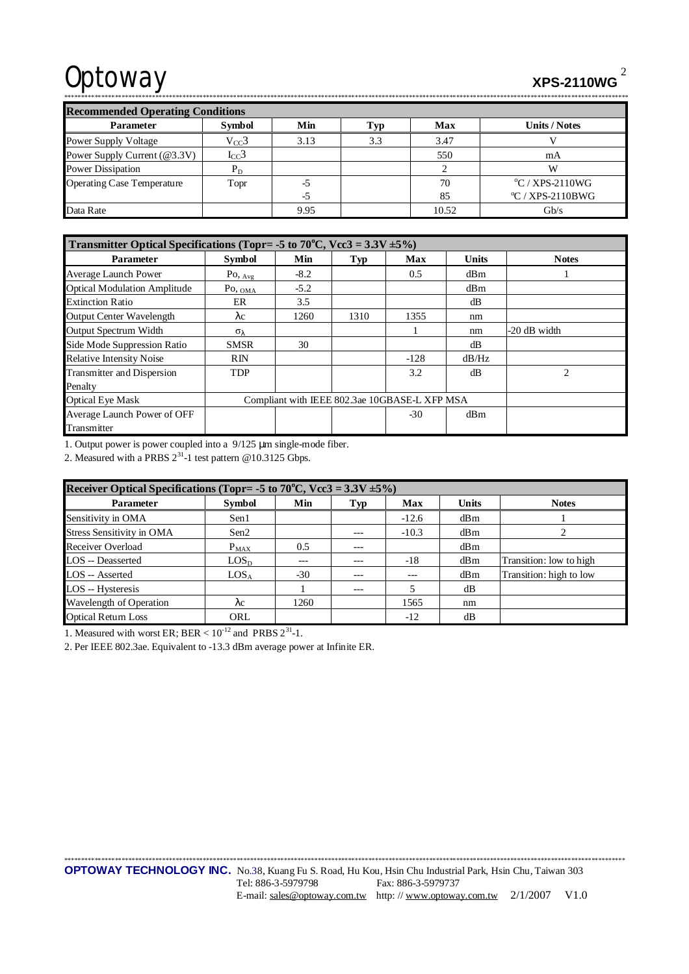# Optoway xPS-2110WG

| <b>Recommended Operating Conditions</b> |               |      |     |            |                          |  |  |  |
|-----------------------------------------|---------------|------|-----|------------|--------------------------|--|--|--|
| <b>Parameter</b>                        | <b>Symbol</b> | Min  | `vn | <b>Max</b> | <b>Units / Notes</b>     |  |  |  |
| <b>Power Supply Voltage</b>             | $V_{CC}$ 3    | 3.13 | 3.3 | 3.47       |                          |  |  |  |
| Power Supply Current (@3.3V)            | $I_{CC}$ 3    |      |     | 550        | mA                       |  |  |  |
| <b>Power Dissipation</b>                | $P_D$         |      |     |            |                          |  |  |  |
| <b>Operating Case Temperature</b>       | Topr          | -:   |     | 70         | $\rm ^{o}C$ / XPS-2110WG |  |  |  |
|                                         |               | -ר   |     | 85         | $\rm{°C}$ / XPS-2110BWG  |  |  |  |
| Data Rate                               |               | 9.95 |     | 10.52      | Gb/s                     |  |  |  |

\*\*\*\*\*\*\*\*\*\*\*\*\*\*\*\*\*\*\*\*\*\*\*\*\*\*\*\*\*\*\*\*\*\*\*\*\*\*\*\*\*\*\*\*\*\*\*\*\*\*\*\*\*\*\*\*\*\*\*\*\*\*\*\*\*\*\*\*\*\*\*\*\*\*\*\*\*\*\*\*\*\*\*\*\*\*\*\*\*\*\*\*\*\*\*\*\*\*\*\*\*\*\*\*\*\*\*\*\*\*\*\*\*\*\*\*\*\*\*\*\*\*\*\*\*\*\*\*\*\*\*\*\*\*\*\*\*\*\*\*\*\*\*\*\*\*\*\*\*\*\*\*\*\*\*\*\*\*\*\*\*\*\*\*\*\*\*

| Transmitter Optical Specifications (Topr= -5 to 70°C, Vcc3 = $3.3V \pm 5\%$ ) |                                               |        |      |            |              |              |  |
|-------------------------------------------------------------------------------|-----------------------------------------------|--------|------|------------|--------------|--------------|--|
| <b>Parameter</b>                                                              | <b>Symbol</b>                                 | Min    | Typ  | <b>Max</b> | <b>Units</b> | <b>Notes</b> |  |
| <b>Average Launch Power</b>                                                   | $Po,_{Avg}$                                   | $-8.2$ |      | 0.5        | dBm          |              |  |
| <b>Optical Modulation Amplitude</b>                                           | $P_{\text{O, OMA}}$                           | $-5.2$ |      |            | dBm          |              |  |
| <b>Extinction Ratio</b>                                                       | ER                                            | 3.5    |      |            | dB           |              |  |
| <b>Output Center Wavelength</b>                                               | $\lambda c$                                   | 1260   | 1310 | 1355       | nm           |              |  |
| Output Spectrum Width                                                         | $\sigma_{\lambda}$                            |        |      |            | nm           | -20 dB width |  |
| Side Mode Suppression Ratio                                                   | <b>SMSR</b>                                   | 30     |      |            | dB           |              |  |
| <b>Relative Intensity Noise</b>                                               | <b>RIN</b>                                    |        |      | $-128$     | dB/Hz        |              |  |
| Transmitter and Dispersion                                                    | <b>TDP</b>                                    |        |      | 3.2        | dB           | 2            |  |
| Penalty                                                                       |                                               |        |      |            |              |              |  |
| <b>Optical Eye Mask</b>                                                       | Compliant with IEEE 802.3ae 10GBASE-L XFP MSA |        |      |            |              |              |  |
| Average Launch Power of OFF                                                   |                                               |        |      | $-30$      | dBm          |              |  |
| Transmitter                                                                   |                                               |        |      |            |              |              |  |

1. Output power is power coupled into a 9/125 μm single-mode fiber.

2. Measured with a PRBS  $2^{31}$ -1 test pattern @10.3125 Gbps.

| Receiver Optical Specifications (Topr= -5 to 70°C, Vcc3 = $3.3V \pm 5\%$ ) |                  |       |       |         |              |                         |  |
|----------------------------------------------------------------------------|------------------|-------|-------|---------|--------------|-------------------------|--|
| <b>Parameter</b>                                                           | <b>Symbol</b>    | Min   | Typ   | Max     | <b>Units</b> | <b>Notes</b>            |  |
| Sensitivity in OMA                                                         | Sen1             |       |       | $-12.6$ | dBm          |                         |  |
| <b>Stress Sensitivity in OMA</b>                                           | Sen2             |       | ---   | $-10.3$ | dBm          |                         |  |
| Receiver Overload                                                          | $P_{MAX}$        | 0.5   | $---$ |         | dBm          |                         |  |
| LOS -- Deasserted                                                          | LOS <sub>D</sub> |       |       | $-18$   | dBm          | Transition: low to high |  |
| LOS -- Asserted                                                            | LOS <sub>A</sub> | $-30$ |       | ---     | dBm          | Transition: high to low |  |
| LOS -- Hysteresis                                                          |                  |       | $---$ |         | dB           |                         |  |
| Wavelength of Operation                                                    | $\lambda c$      | 1260  |       | 1565    | nm           |                         |  |
| <b>Optical Return Loss</b>                                                 | ORL              |       |       | $-12$   | dB           |                         |  |

1. Measured with worst ER; BER <  $10^{-12}$  and PRBS  $2^{31}$ -1.

2. Per IEEE 802.3ae. Equivalent to -13.3 dBm average power at Infinite ER.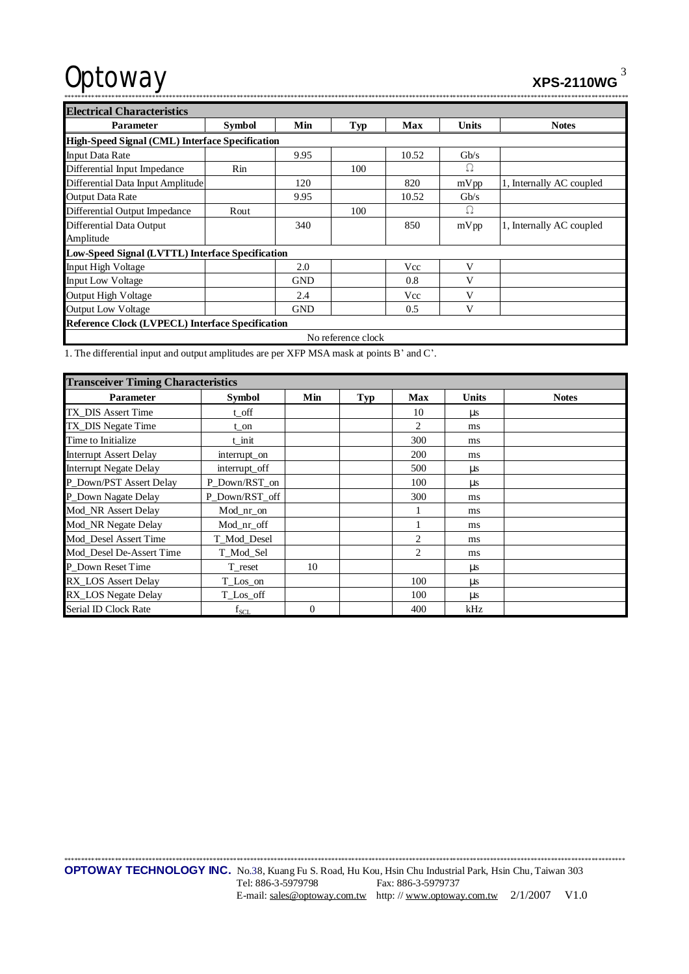$XPS-2110WG$ <sup>3</sup>

| . |
|---|
|   |
|   |
|   |

| <b>Electrical Characteristics</b>                       |                                                 |            |     |            |              |                          |  |  |  |  |
|---------------------------------------------------------|-------------------------------------------------|------------|-----|------------|--------------|--------------------------|--|--|--|--|
| <b>Parameter</b>                                        | <b>Symbol</b>                                   | Min        | Typ | <b>Max</b> | <b>Units</b> | <b>Notes</b>             |  |  |  |  |
|                                                         | High-Speed Signal (CML) Interface Specification |            |     |            |              |                          |  |  |  |  |
| <b>Input Data Rate</b>                                  |                                                 | 9.95       |     | 10.52      | Gb/s         |                          |  |  |  |  |
| Differential Input Impedance                            | Rin                                             |            | 100 |            | Ω            |                          |  |  |  |  |
| Differential Data Input Amplitude                       |                                                 | 120        |     | 820        | mVpp         | 1, Internally AC coupled |  |  |  |  |
| <b>Output Data Rate</b>                                 |                                                 | 9.95       |     | 10.52      | Gb/s         |                          |  |  |  |  |
| Differential Output Impedance                           | Rout                                            |            | 100 |            | Ω            |                          |  |  |  |  |
| Differential Data Output                                |                                                 | 340        |     | 850        | mVpp         | 1, Internally AC coupled |  |  |  |  |
| Amplitude                                               |                                                 |            |     |            |              |                          |  |  |  |  |
| Low-Speed Signal (LVTTL) Interface Specification        |                                                 |            |     |            |              |                          |  |  |  |  |
| <b>Input High Voltage</b>                               |                                                 | 2.0        |     | Vcc        | V            |                          |  |  |  |  |
| <b>Input Low Voltage</b>                                |                                                 | <b>GND</b> |     | 0.8        | V            |                          |  |  |  |  |
| <b>Output High Voltage</b>                              |                                                 | 2.4        |     | Vcc        | V            |                          |  |  |  |  |
| <b>Output Low Voltage</b>                               |                                                 | <b>GND</b> |     | 0.5        | V            |                          |  |  |  |  |
| <b>Reference Clock (LVPECL) Interface Specification</b> |                                                 |            |     |            |              |                          |  |  |  |  |
| No reference clock                                      |                                                 |            |     |            |              |                          |  |  |  |  |

1. The differential input and output amplitudes are per XFP MSA mask at points B' and C'.

| <b>Transceiver Timing Characteristics</b> |                |          |            |            |              |              |  |  |
|-------------------------------------------|----------------|----------|------------|------------|--------------|--------------|--|--|
| <b>Parameter</b>                          | <b>Symbol</b>  | Min      | <b>Typ</b> | <b>Max</b> | <b>Units</b> | <b>Notes</b> |  |  |
| TX DIS Assert Time                        | t_off          |          |            | 10         | $\mu s$      |              |  |  |
| TX_DIS Negate Time                        | t on           |          |            | 2          | ms           |              |  |  |
| Time to Initialize                        | t init         |          |            | 300        | ms           |              |  |  |
| <b>Interrupt Assert Delay</b>             | interrupt_on   |          |            | 200        | ms           |              |  |  |
| <b>Interrupt Negate Delay</b>             | interrupt_off  |          |            | 500        | μs           |              |  |  |
| P Down/PST Assert Delay                   | P_Down/RST_on  |          |            | 100        | $\mu s$      |              |  |  |
| P_Down Nagate Delay                       | P Down/RST off |          |            | 300        | ms           |              |  |  |
| Mod NR Assert Delay                       | Mod_nr_on      |          |            |            | ms           |              |  |  |
| Mod_NR Negate Delay                       | Mod_nr_off     |          |            |            | ms           |              |  |  |
| Mod_Desel Assert Time                     | T_Mod_Desel    |          |            | 2          | ms           |              |  |  |
| Mod_Desel De-Assert Time                  | T_Mod_Sel      |          |            | 2          | ms           |              |  |  |
| P_Down Reset Time                         | T_reset        | 10       |            |            | μs           |              |  |  |
| RX_LOS Assert Delay                       | T_Los_on       |          |            | 100        | $\mu s$      |              |  |  |
| RX_LOS Negate Delay                       | T_Los_off      |          |            | 100        | μs           |              |  |  |
| Serial ID Clock Rate                      | $f_{SCL}$      | $\Omega$ |            | 400        | kHz          |              |  |  |

\*\*\*\*\*\*\*\*\*\*\*\*\*\*\*\*\*\*\*\*\*\*\*\*\*\*\*\*\*\*\*\*\*\*\*\*\*\*\*\*\*\*\*\*\*\*\*\*\*\*\*\*\*\*\*\*\*\*\*\*\*\*\*\*\*\*\*\*\*\*\*\*\*\*\*\*\*\*\*\*\*\*\*\*\*\*\*\*\*\*\*\*\*\*\*\*\*\*\*\*\*\*\*\*\*\*\*\*\*\*\*\*\*\*\*\*\*\*\*\*\*\*\*\*\*\*\*\*\*\*\*\*\*\*\*\*\*\*\*\*\*\*\*\*\*\*\*\*\*\*\*\*\*\*\*\*\*\*\*\*\*\*\*\*\*\* **OPTOWAY TECHNOLOGY INC.** No.38, Kuang Fu S. Road, Hu Kou, Hsin Chu Industrial Park, Hsin Chu, Taiwan 303<br>Tel: 886-3-5979798 Fax: 886-3-5979737 Fax: 886-3-5979737 E-mail: [sales@optoway.com.tw](mailto:sales@optoway.com.tw) http: // [www.optoway.com.tw](http://www.optoway.com.tw) 2/1/2007 V1.0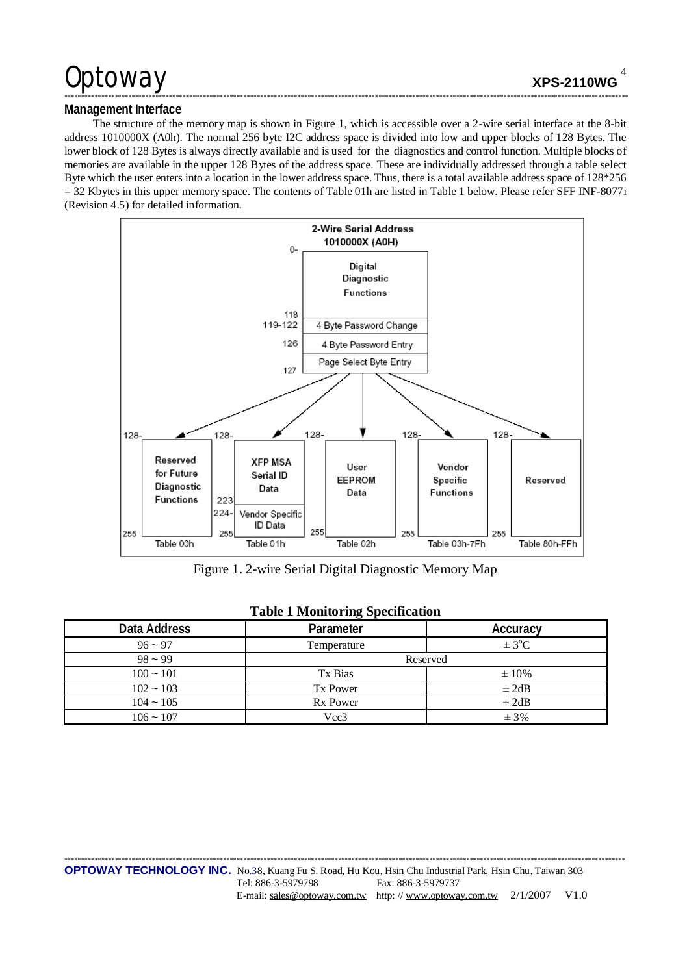## Management Interface

The structure of the memory map is shown in Figure 1, which is accessible over a 2-wire serial interface at the 8-bit address 1010000X (A0h). The normal 256 byte I2C address space is divided into low and upper blocks of 128 Bytes. The lower block of 128 Bytes is always directly available and is used for the diagnostics and control function. Multiple blocks of memories are available in the upper 128 Bytes of the address space. These are individually addressed through a table select Byte which the user enters into a location in the lower address space. Thus, there is a total available address space of 128\*256  $=$  32 Kbytes in this upper memory space. The contents of Table 01h are listed in Table 1 below. Please refer SFF INF-8077i (Revision 4.5) for detailed information.



Figure 1. 2-wire Serial Digital Diagnostic Memory Map

| Data Address | Parameter       | Accuracy   |
|--------------|-----------------|------------|
| $96 - 97$    | Temperature     | $\pm$ 3°C  |
| $98 - 99$    | Reserved        |            |
| $100 - 101$  | Tx Bias         | $\pm 10\%$ |
| $102 - 103$  | Tx Power        | $\pm 2dB$  |
| $104 - 105$  | <b>Rx Power</b> | $\pm 2dB$  |
| $106 - 107$  | Vcc3            | $± 3\%$    |

### **Table 1 Monitoring Specification**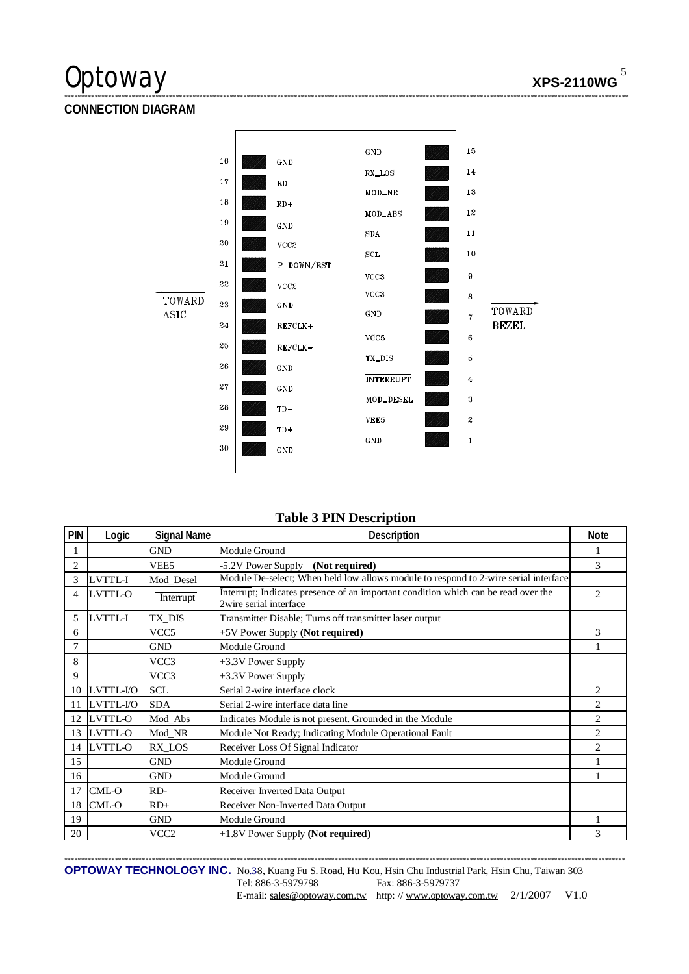## **CONNECTION DIAGRAM**



### **Table 3 PIN Description**

| PIN | Logic          | <b>Signal Name</b> | Description                                                                                                  | <b>Note</b>    |
|-----|----------------|--------------------|--------------------------------------------------------------------------------------------------------------|----------------|
|     |                | <b>GND</b>         | Module Ground                                                                                                |                |
| 2   |                | VEE <sub>5</sub>   | -5.2V Power Supply (Not required)                                                                            | 3              |
| 3   | LVTTL-I        | Mod Desel          | Module De-select; When held low allows module to respond to 2-wire serial interface                          |                |
| 4   | LVTTL-O        | Interrupt          | Interrupt; Indicates presence of an important condition which can be read over the<br>2wire serial interface | 2              |
| 5   | LVTTL-I        | TX DIS             | Transmitter Disable; Turns off transmitter laser output                                                      |                |
| 6   |                | VCC <sub>5</sub>   | +5V Power Supply (Not required)                                                                              | 3              |
| 7   |                | <b>GND</b>         | Module Ground                                                                                                |                |
| 8   |                | VCC3               | +3.3V Power Supply                                                                                           |                |
| 9   |                | VCC3               | +3.3V Power Supply                                                                                           |                |
| 10  | LVTTL-I/O      | <b>SCL</b>         | Serial 2-wire interface clock                                                                                | $\overline{c}$ |
| 11  | LVTTL-I/O      | <b>SDA</b>         | Serial 2-wire interface data line                                                                            | 2              |
| 12  | <b>LVTTL-O</b> | Mod_Abs            | Indicates Module is not present. Grounded in the Module                                                      | $\overline{c}$ |
| 13  | LVTTL-O        | Mod NR             | Module Not Ready; Indicating Module Operational Fault                                                        | 2              |
| 14  | LVTTL-O        | RX LOS             | Receiver Loss Of Signal Indicator                                                                            | $\overline{c}$ |
| 15  |                | <b>GND</b>         | Module Ground                                                                                                |                |
| 16  |                | <b>GND</b>         | Module Ground                                                                                                |                |
| 17  | CML-O          | RD-                | Receiver Inverted Data Output                                                                                |                |
| 18  | CML-O          | $RD+$              | Receiver Non-Inverted Data Output                                                                            |                |
| 19  |                | <b>GND</b>         | Module Ground                                                                                                |                |
| 20  |                | VCC <sub>2</sub>   | +1.8V Power Supply (Not required)                                                                            | 3              |

OPTOWAY TECHNOLOGY INC. No.38, Kuang Fu S. Road, Hu Kou, Hsin Chu Industrial Park, Hsin Chu, Taiwan 303 Tel: 886-3-5979798 Fax: 886-3-5979737 E-mail: sales@optoway.com.tw http://www.optoway.com.tw 2/1/2007 V1.0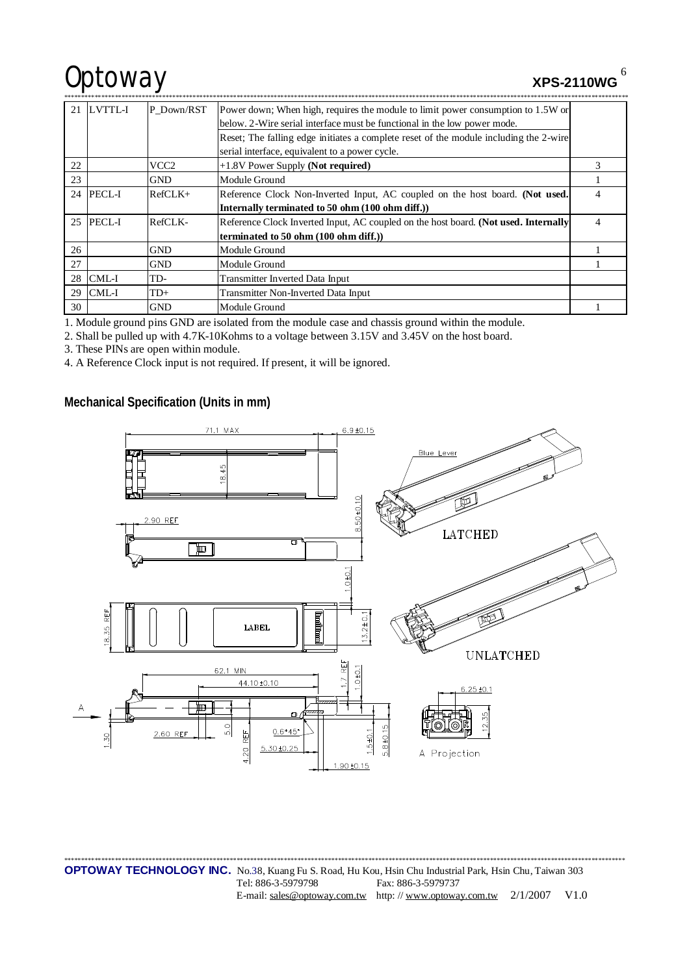# Optoway xPS-2110WG

6

| 21 | LVTTL-I   | P Down/RST | Power down; When high, requires the module to limit power consumption to 1.5W or      |   |
|----|-----------|------------|---------------------------------------------------------------------------------------|---|
|    |           |            | below. 2-Wire serial interface must be functional in the low power mode.              |   |
|    |           |            | Reset; The falling edge initiates a complete reset of the module including the 2-wire |   |
|    |           |            | serial interface, equivalent to a power cycle.                                        |   |
| 22 |           | VCC2       | $+1.8V$ Power Supply (Not required)                                                   | 3 |
| 23 |           | <b>GND</b> | Module Ground                                                                         |   |
|    | 24 PECL-I | $RefCLK+$  | Reference Clock Non-Inverted Input, AC coupled on the host board. (Not used.          | 4 |
|    |           |            | Internally terminated to 50 ohm (100 ohm diff.))                                      |   |
|    | 25 PECL-I | RefCLK-    | Reference Clock Inverted Input, AC coupled on the host board. (Not used. Internally   | 4 |
|    |           |            | terminated to 50 ohm (100 ohm diff.))                                                 |   |
| 26 |           | <b>GND</b> | Module Ground                                                                         |   |
| 27 |           | <b>GND</b> | Module Ground                                                                         |   |
| 28 | CML-I     | TD-        | Transmitter Inverted Data Input                                                       |   |
| 29 | CML-I     | $TD+$      | Transmitter Non-Inverted Data Input                                                   |   |
| 30 |           | <b>GND</b> | Module Ground                                                                         |   |

1. Module ground pins GND are isolated from the module case and chassis ground within the module.

2. Shall be pulled up with 4.7K-10Kohms to a voltage between 3.15V and 3.45V on the host board.

3. These PINs are open within module.

4. A Reference Clock input is not required. If present, it will be ignored.

**Mechanical Specification (Units in mm)** 



\*\*\*\*\*\*\*\*\*\*\*\*\*\*\*\*\*\*\*\*\*\*\*\*\*\*\*\*\*\*\*\*\*\*\*\*\*\*\*\*\*\*\*\*\*\*\*\*\*\*\*\*\*\*\*\*\*\*\*\*\*\*\*\*\*\*\*\*\*\*\*\*\*\*\*\*\*\*\*\*\*\*\*\*\*\*\*\*\*\*\*\*\*\*\*\*\*\*\*\*\*\*\*\*\*\*\*\*\*\*\*\*\*\*\*\*\*\*\*\*\*\*\*\*\*\*\*\*\*\*\*\*\*\*\*\*\*\*\*\*\*\*\*\*\*\*\*\*\*\*\*\*\*\*\*\*\*\*\*\*\*\*\*\*\*\* **OPTOWAY TECHNOLOGY INC.** No.38, Kuang Fu S. Road, Hu Kou, Hsin Chu Industrial Park, Hsin Chu, Taiwan 303 Tel: 886-3-5979798 Fax: 886-3-5979737 E-mail: [sales@optoway.com.tw](mailto:sales@optoway.com.tw) http://www.optoway.com.tw 2/1/2007 V1.0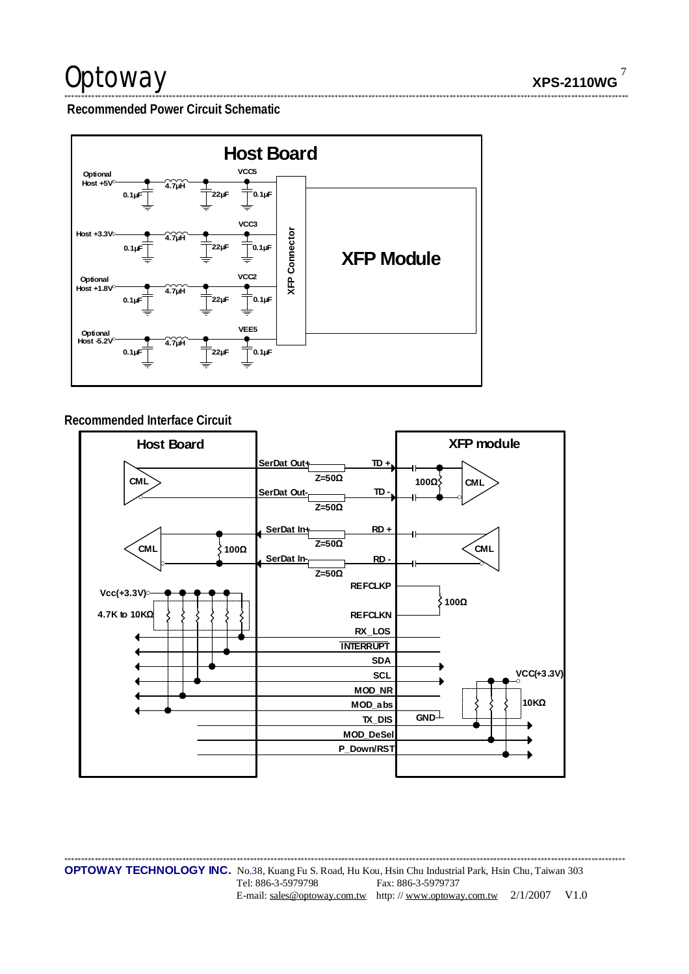$\overline{7}$ **XPS-2110WG** 

Recommended Power Circuit Schematic



### Recommended Interface Circuit



**OPTOWAY TECHNOLOGY INC.** No.38, Kuang Fu S. Road, Hu Kou, Hsin Chu Industrial Park, Hsin Chu, Taiwan 303 Tel: 886-3-5979798 Fax: 886-3-5979737 E-mail: sales@optoway.com.tw http://www.optoway.com.tw 2/1/2007  $V1.0$